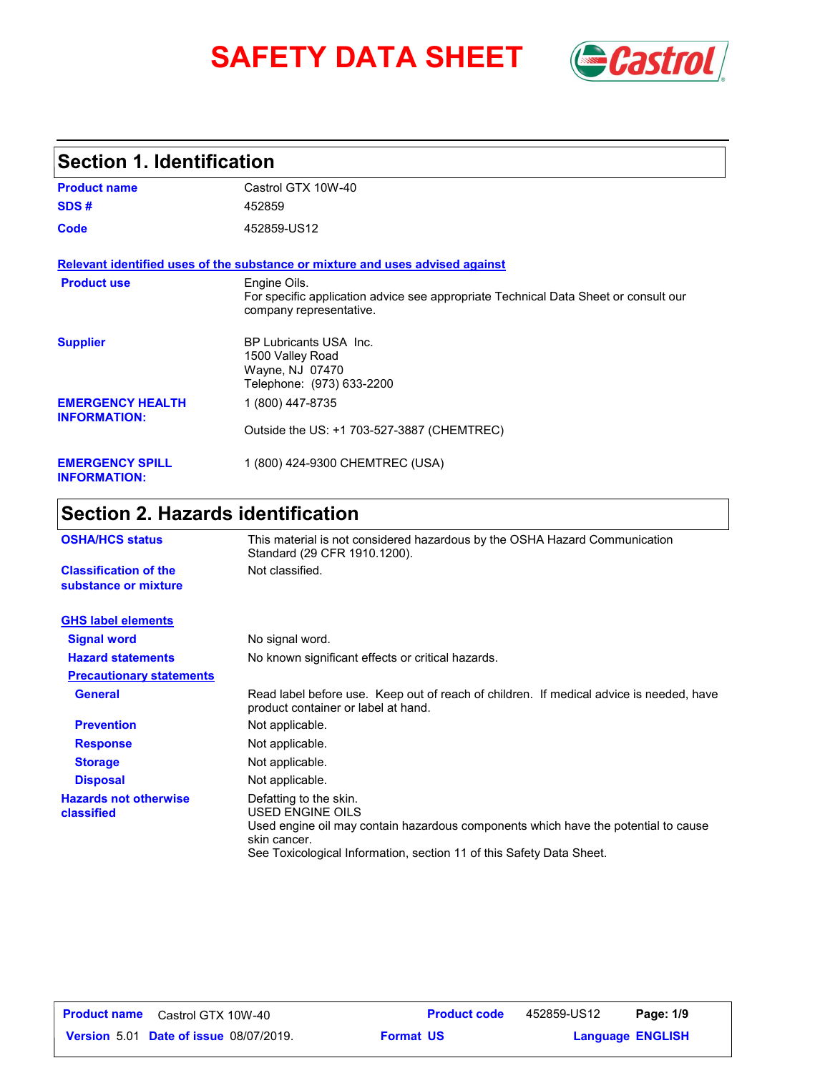# **SAFETY DATA SHEET** *Castrol*



# **Section 1. Identification**

| <b>Product name</b>                            | Castrol GTX 10W-40                                                                                                             |
|------------------------------------------------|--------------------------------------------------------------------------------------------------------------------------------|
| SDS#                                           | 452859                                                                                                                         |
| Code                                           | 452859-US12                                                                                                                    |
|                                                | Relevant identified uses of the substance or mixture and uses advised against                                                  |
| <b>Product use</b>                             | Engine Oils.<br>For specific application advice see appropriate Technical Data Sheet or consult our<br>company representative. |
| <b>Supplier</b>                                | BP Lubricants USA Inc.<br>1500 Valley Road<br>Wayne, NJ 07470<br>Telephone: (973) 633-2200                                     |
| <b>EMERGENCY HEALTH</b><br><b>INFORMATION:</b> | 1 (800) 447-8735                                                                                                               |
|                                                | Outside the US: +1 703-527-3887 (CHEMTREC)                                                                                     |
| <b>EMERGENCY SPILL</b><br><b>INFORMATION:</b>  | 1 (800) 424-9300 CHEMTREC (USA)                                                                                                |

# **Section 2. Hazards identification**

| <b>OSHA/HCS status</b>                               | This material is not considered hazardous by the OSHA Hazard Communication<br>Standard (29 CFR 1910.1200).                                                                                                               |
|------------------------------------------------------|--------------------------------------------------------------------------------------------------------------------------------------------------------------------------------------------------------------------------|
| <b>Classification of the</b><br>substance or mixture | Not classified.                                                                                                                                                                                                          |
| <b>GHS label elements</b>                            |                                                                                                                                                                                                                          |
| <b>Signal word</b>                                   | No signal word.                                                                                                                                                                                                          |
| <b>Hazard statements</b>                             | No known significant effects or critical hazards.                                                                                                                                                                        |
| <b>Precautionary statements</b>                      |                                                                                                                                                                                                                          |
| <b>General</b>                                       | Read label before use. Keep out of reach of children. If medical advice is needed, have<br>product container or label at hand.                                                                                           |
| <b>Prevention</b>                                    | Not applicable.                                                                                                                                                                                                          |
| <b>Response</b>                                      | Not applicable.                                                                                                                                                                                                          |
| <b>Storage</b>                                       | Not applicable.                                                                                                                                                                                                          |
| <b>Disposal</b>                                      | Not applicable.                                                                                                                                                                                                          |
| <b>Hazards not otherwise</b><br>classified           | Defatting to the skin.<br>USED ENGINE OILS<br>Used engine oil may contain hazardous components which have the potential to cause<br>skin cancer.<br>See Toxicological Information, section 11 of this Safety Data Sheet. |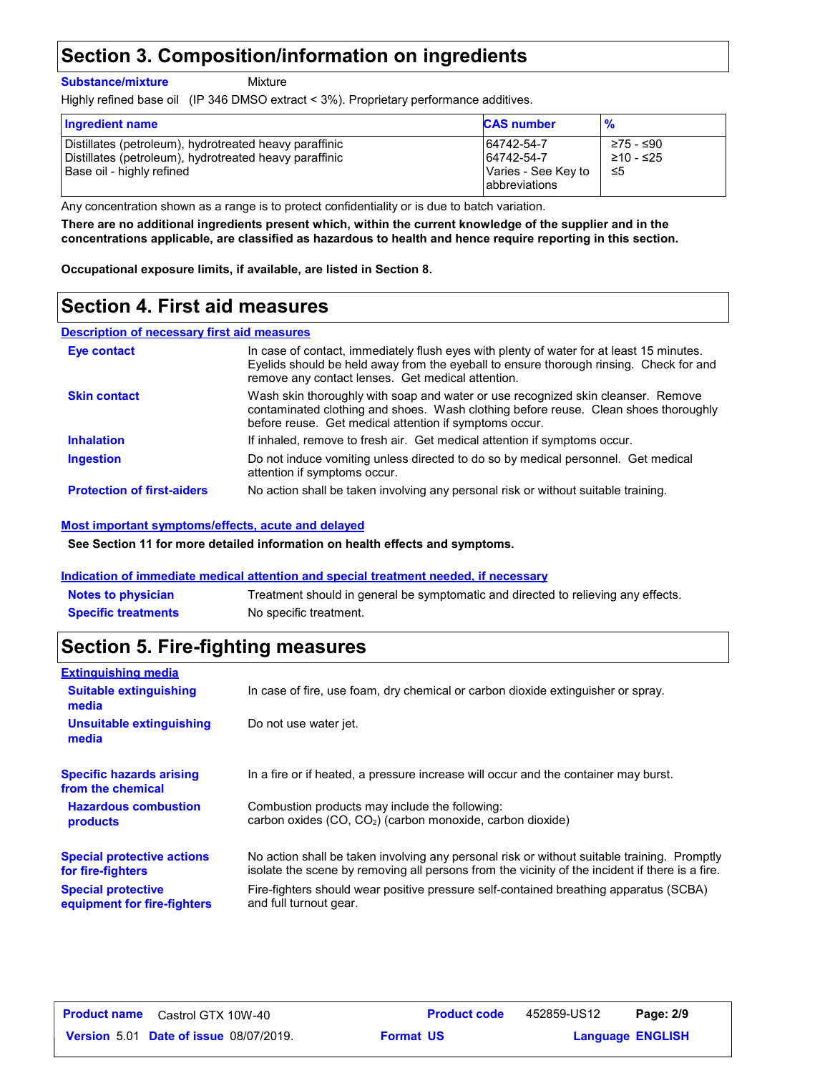# **Section 3. Composition/information on ingredients**

**Substance/mixture**

Mixture

Highly refined base oil (IP 346 DMSO extract < 3%). Proprietary performance additives.

| <b>Ingredient name</b>                                                                                                                        | <b>CAS number</b>                                                 | $\frac{9}{6}$                 |
|-----------------------------------------------------------------------------------------------------------------------------------------------|-------------------------------------------------------------------|-------------------------------|
| Distillates (petroleum), hydrotreated heavy paraffinic<br>Distillates (petroleum), hydrotreated heavy paraffinic<br>Base oil - highly refined | 64742-54-7<br>64742-54-7<br>Varies - See Key to<br>labbreviations | ≥75 - ≤90<br>≥10 - ≤25<br>-≤5 |

Any concentration shown as a range is to protect confidentiality or is due to batch variation.

**There are no additional ingredients present which, within the current knowledge of the supplier and in the concentrations applicable, are classified as hazardous to health and hence require reporting in this section.**

**Occupational exposure limits, if available, are listed in Section 8.**

### **Section 4. First aid measures**

#### **Description of necessary first aid measures**

| Eye contact                       | In case of contact, immediately flush eyes with plenty of water for at least 15 minutes.<br>Evelids should be held away from the eyeball to ensure thorough rinsing. Check for and<br>remove any contact lenses. Get medical attention. |
|-----------------------------------|-----------------------------------------------------------------------------------------------------------------------------------------------------------------------------------------------------------------------------------------|
| <b>Skin contact</b>               | Wash skin thoroughly with soap and water or use recognized skin cleanser. Remove<br>contaminated clothing and shoes. Wash clothing before reuse. Clean shoes thoroughly<br>before reuse. Get medical attention if symptoms occur.       |
| <b>Inhalation</b>                 | If inhaled, remove to fresh air. Get medical attention if symptoms occur.                                                                                                                                                               |
| <b>Ingestion</b>                  | Do not induce vomiting unless directed to do so by medical personnel. Get medical<br>attention if symptoms occur.                                                                                                                       |
| <b>Protection of first-aiders</b> | No action shall be taken involving any personal risk or without suitable training.                                                                                                                                                      |

#### **Most important symptoms/effects, acute and delayed**

**See Section 11 for more detailed information on health effects and symptoms.**

#### **Indication of immediate medical attention and special treatment needed, if necessary**

| <b>Notes to physician</b>  | Treatment should in general be symptomatic and directed to relieving any effects. |
|----------------------------|-----------------------------------------------------------------------------------|
| <b>Specific treatments</b> | No specific treatment.                                                            |

# **Section 5. Fire-fighting measures**

| <b>Extinguishing media</b>                               |                                                                                                                                                                                                |
|----------------------------------------------------------|------------------------------------------------------------------------------------------------------------------------------------------------------------------------------------------------|
| <b>Suitable extinguishing</b><br>media                   | In case of fire, use foam, dry chemical or carbon dioxide extinguisher or spray.                                                                                                               |
| <b>Unsuitable extinguishing</b><br>media                 | Do not use water jet.                                                                                                                                                                          |
| <b>Specific hazards arising</b><br>from the chemical     | In a fire or if heated, a pressure increase will occur and the container may burst.                                                                                                            |
| <b>Hazardous combustion</b><br>products                  | Combustion products may include the following:<br>carbon oxides (CO, CO <sub>2</sub> ) (carbon monoxide, carbon dioxide)                                                                       |
| <b>Special protective actions</b><br>for fire-fighters   | No action shall be taken involving any personal risk or without suitable training. Promptly<br>isolate the scene by removing all persons from the vicinity of the incident if there is a fire. |
| <b>Special protective</b><br>equipment for fire-fighters | Fire-fighters should wear positive pressure self-contained breathing apparatus (SCBA)<br>and full turnout gear.                                                                                |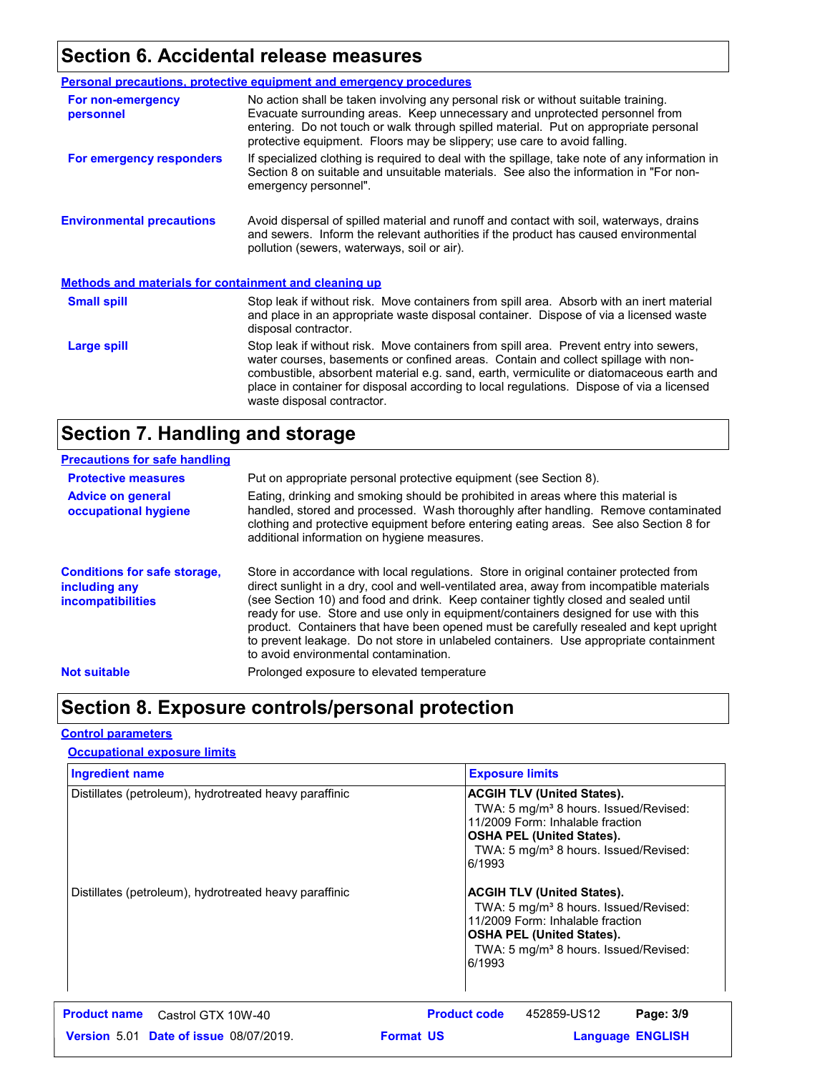# **Section 6. Accidental release measures**

|                                                              | <b>Personal precautions, protective equipment and emergency procedures</b>                                                                                                                                                                                                                                                                                                                         |
|--------------------------------------------------------------|----------------------------------------------------------------------------------------------------------------------------------------------------------------------------------------------------------------------------------------------------------------------------------------------------------------------------------------------------------------------------------------------------|
| For non-emergency<br>personnel                               | No action shall be taken involving any personal risk or without suitable training.<br>Evacuate surrounding areas. Keep unnecessary and unprotected personnel from<br>entering. Do not touch or walk through spilled material. Put on appropriate personal<br>protective equipment. Floors may be slippery; use care to avoid falling.                                                              |
| For emergency responders                                     | If specialized clothing is required to deal with the spillage, take note of any information in<br>Section 8 on suitable and unsuitable materials. See also the information in "For non-<br>emergency personnel".                                                                                                                                                                                   |
| <b>Environmental precautions</b>                             | Avoid dispersal of spilled material and runoff and contact with soil, waterways, drains<br>and sewers. Inform the relevant authorities if the product has caused environmental<br>pollution (sewers, waterways, soil or air).                                                                                                                                                                      |
| <b>Methods and materials for containment and cleaning up</b> |                                                                                                                                                                                                                                                                                                                                                                                                    |
| <b>Small spill</b>                                           | Stop leak if without risk. Move containers from spill area. Absorb with an inert material<br>and place in an appropriate waste disposal container. Dispose of via a licensed waste<br>disposal contractor.                                                                                                                                                                                         |
| Large spill                                                  | Stop leak if without risk. Move containers from spill area. Prevent entry into sewers,<br>water courses, basements or confined areas. Contain and collect spillage with non-<br>combustible, absorbent material e.g. sand, earth, vermiculite or diatomaceous earth and<br>place in container for disposal according to local regulations. Dispose of via a licensed<br>waste disposal contractor. |

# **Section 7. Handling and storage**

| <b>Precautions for safe handling</b>                                             |                                                                                                                                                                                                                                                                                                                                                                                                                                                                                                                                                                                               |
|----------------------------------------------------------------------------------|-----------------------------------------------------------------------------------------------------------------------------------------------------------------------------------------------------------------------------------------------------------------------------------------------------------------------------------------------------------------------------------------------------------------------------------------------------------------------------------------------------------------------------------------------------------------------------------------------|
| <b>Protective measures</b>                                                       | Put on appropriate personal protective equipment (see Section 8).                                                                                                                                                                                                                                                                                                                                                                                                                                                                                                                             |
| <b>Advice on general</b><br>occupational hygiene                                 | Eating, drinking and smoking should be prohibited in areas where this material is<br>handled, stored and processed. Wash thoroughly after handling. Remove contaminated<br>clothing and protective equipment before entering eating areas. See also Section 8 for<br>additional information on hygiene measures.                                                                                                                                                                                                                                                                              |
| <b>Conditions for safe storage,</b><br>including any<br><b>incompatibilities</b> | Store in accordance with local regulations. Store in original container protected from<br>direct sunlight in a dry, cool and well-ventilated area, away from incompatible materials<br>(see Section 10) and food and drink. Keep container tightly closed and sealed until<br>ready for use. Store and use only in equipment/containers designed for use with this<br>product. Containers that have been opened must be carefully resealed and kept upright<br>to prevent leakage. Do not store in unlabeled containers. Use appropriate containment<br>to avoid environmental contamination. |
| <b>Not suitable</b>                                                              | Prolonged exposure to elevated temperature                                                                                                                                                                                                                                                                                                                                                                                                                                                                                                                                                    |

# **Section 8. Exposure controls/personal protection**

#### **Control parameters**

#### **Occupational exposure limits**

| <b>Ingredient name</b>                                 | <b>Exposure limits</b>                                                                                                                                                                                                        |
|--------------------------------------------------------|-------------------------------------------------------------------------------------------------------------------------------------------------------------------------------------------------------------------------------|
| Distillates (petroleum), hydrotreated heavy paraffinic | <b>ACGIH TLV (United States).</b><br>TWA: 5 mg/m <sup>3</sup> 8 hours. Issued/Revised:<br>11/2009 Form: Inhalable fraction<br><b>OSHA PEL (United States).</b><br>TWA: 5 mg/m <sup>3</sup> 8 hours. Issued/Revised:<br>6/1993 |
| Distillates (petroleum), hydrotreated heavy paraffinic | <b>ACGIH TLV (United States).</b><br>TWA: 5 mg/m <sup>3</sup> 8 hours. Issued/Revised:<br>11/2009 Form: Inhalable fraction<br><b>OSHA PEL (United States).</b><br>TWA: 5 mg/m <sup>3</sup> 8 hours. Issued/Revised:<br>6/1993 |
| <b>Product name</b><br>Castrol GTX 10W-40              | <b>Product code</b><br>452859-US12<br>Page: 3/9                                                                                                                                                                               |
| <b>Version 5.01 Date of issue 08/07/2019.</b>          | <b>Format US</b><br><b>Language ENGLISH</b>                                                                                                                                                                                   |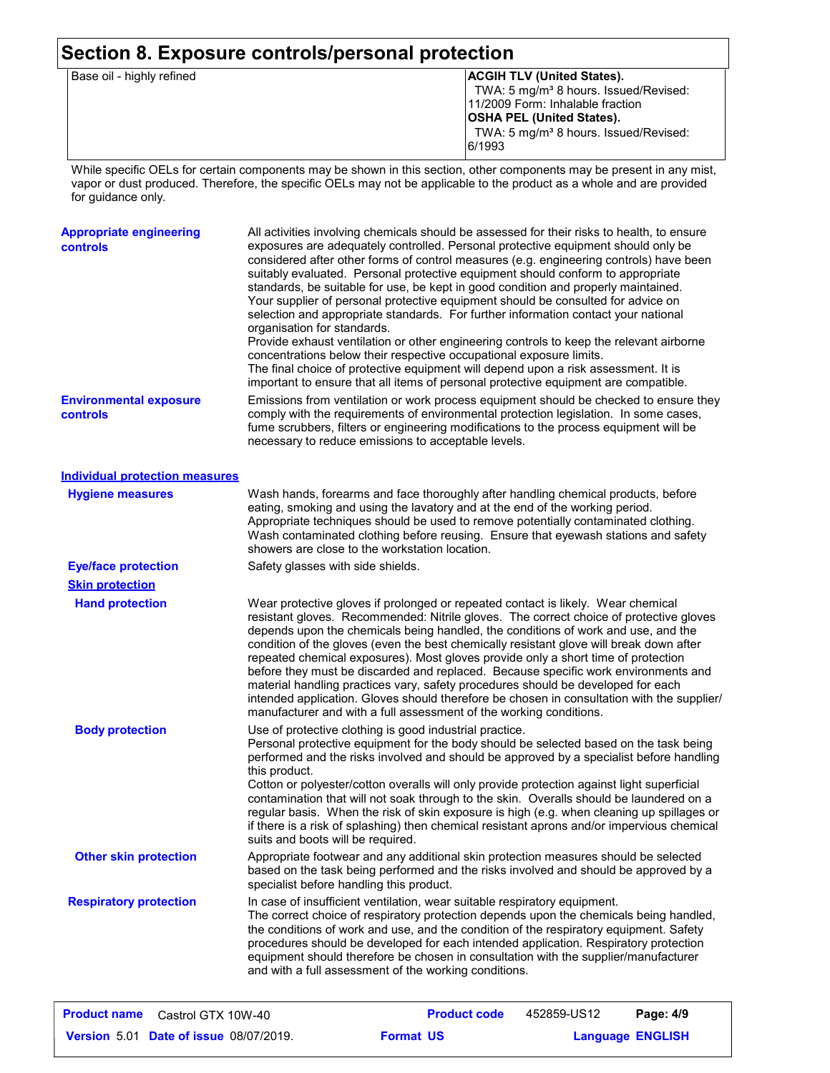### **Section 8. Exposure controls/personal protection**

| Base oil - highly refined | <b>ACGIH TLV (United States).</b>                 |
|---------------------------|---------------------------------------------------|
|                           | TWA: 5 mg/m <sup>3</sup> 8 hours. Issued/Revised: |
|                           | 11/2009 Form: Inhalable fraction                  |
|                           | <b>OSHA PEL (United States).</b>                  |
|                           | TWA: 5 mg/m <sup>3</sup> 8 hours. Issued/Revised: |
|                           | 6/1993                                            |
|                           |                                                   |

While specific OELs for certain components may be shown in this section, other components may be present in any mist, vapor or dust produced. Therefore, the specific OELs may not be applicable to the product as a whole and are provided for guidance only.

| <b>Appropriate engineering</b><br>controls | All activities involving chemicals should be assessed for their risks to health, to ensure<br>exposures are adequately controlled. Personal protective equipment should only be<br>considered after other forms of control measures (e.g. engineering controls) have been<br>suitably evaluated. Personal protective equipment should conform to appropriate<br>standards, be suitable for use, be kept in good condition and properly maintained.<br>Your supplier of personal protective equipment should be consulted for advice on<br>selection and appropriate standards. For further information contact your national<br>organisation for standards.<br>Provide exhaust ventilation or other engineering controls to keep the relevant airborne<br>concentrations below their respective occupational exposure limits.<br>The final choice of protective equipment will depend upon a risk assessment. It is<br>important to ensure that all items of personal protective equipment are compatible. |
|--------------------------------------------|------------------------------------------------------------------------------------------------------------------------------------------------------------------------------------------------------------------------------------------------------------------------------------------------------------------------------------------------------------------------------------------------------------------------------------------------------------------------------------------------------------------------------------------------------------------------------------------------------------------------------------------------------------------------------------------------------------------------------------------------------------------------------------------------------------------------------------------------------------------------------------------------------------------------------------------------------------------------------------------------------------|
| <b>Environmental exposure</b><br>controls  | Emissions from ventilation or work process equipment should be checked to ensure they<br>comply with the requirements of environmental protection legislation. In some cases,<br>fume scrubbers, filters or engineering modifications to the process equipment will be<br>necessary to reduce emissions to acceptable levels.                                                                                                                                                                                                                                                                                                                                                                                                                                                                                                                                                                                                                                                                              |

**Hand protection** In case of insufficient ventilation, wear suitable respiratory equipment. The correct choice of respiratory protection depends upon the chemicals being handled, the conditions of work and use, and the condition of the respiratory equipment. Safety procedures should be developed for each intended application. Respiratory protection equipment should therefore be chosen in consultation with the supplier/manufacturer and with a full assessment of the working conditions. Wear protective gloves if prolonged or repeated contact is likely. Wear chemical resistant gloves. Recommended: Nitrile gloves. The correct choice of protective gloves depends upon the chemicals being handled, the conditions of work and use, and the condition of the gloves (even the best chemically resistant glove will break down after repeated chemical exposures). Most gloves provide only a short time of protection before they must be discarded and replaced. Because specific work environments and material handling practices vary, safety procedures should be developed for each intended application. Gloves should therefore be chosen in consultation with the supplier/ manufacturer and with a full assessment of the working conditions. **Eye/face protection** Safety glasses with side shields. **Respiratory protection Body protection** Use of protective clothing is good industrial practice. Personal protective equipment for the body should be selected based on the task being performed and the risks involved and should be approved by a specialist before handling this product. Cotton or polyester/cotton overalls will only provide protection against light superficial contamination that will not soak through to the skin. Overalls should be laundered on a regular basis. When the risk of skin exposure is high (e.g. when cleaning up spillages or if there is a risk of splashing) then chemical resistant aprons and/or impervious chemical suits and boots will be required. Wash hands, forearms and face thoroughly after handling chemical products, before eating, smoking and using the lavatory and at the end of the working period. Appropriate techniques should be used to remove potentially contaminated clothing. Wash contaminated clothing before reusing. Ensure that eyewash stations and safety showers are close to the workstation location. **Hygiene measures Individual protection measures Skin protection Other skin protection** Appropriate footwear and any additional skin protection measures should be selected based on the task being performed and the risks involved and should be approved by a specialist before handling this product.

| <b>Product name</b><br>Castrol GTX 10W-40     | <b>Product code</b> | 452859-US12 | Page: 4/9               |
|-----------------------------------------------|---------------------|-------------|-------------------------|
| <b>Version 5.01 Date of issue 08/07/2019.</b> | <b>Format US</b>    |             | <b>Language ENGLISH</b> |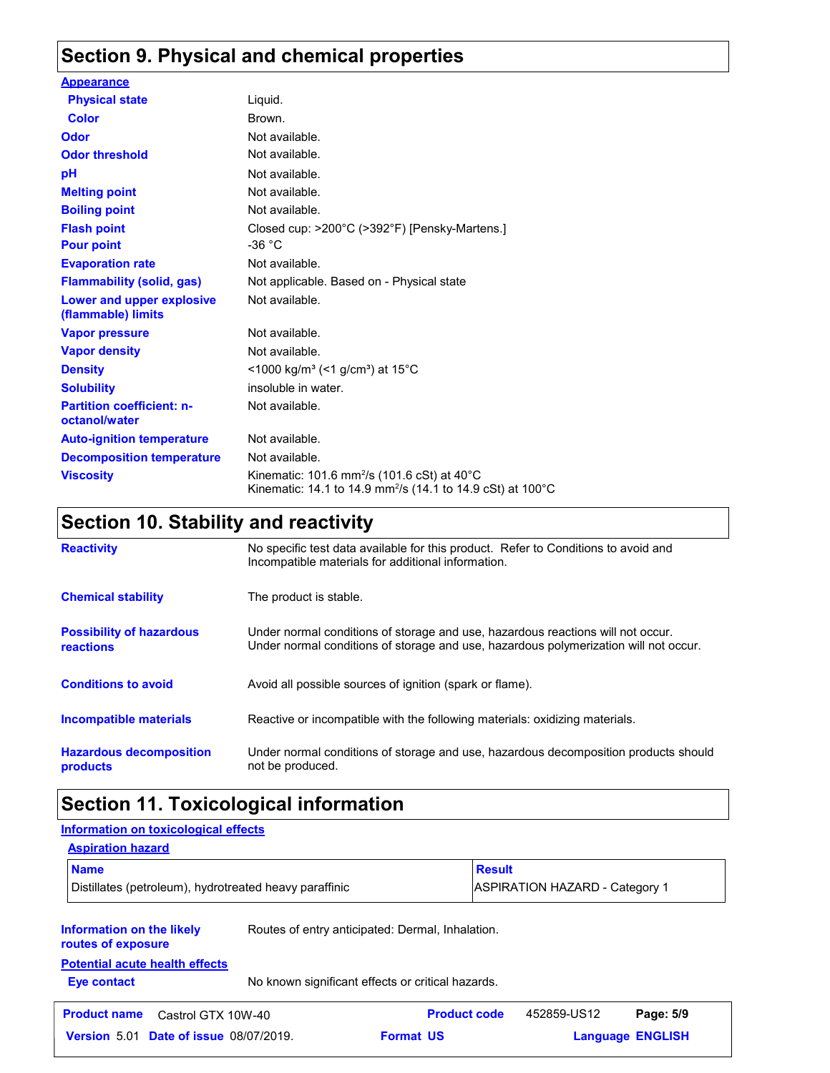# **Section 9. Physical and chemical properties**

| <b>Appearance</b>                                 |                                                                                                                                              |
|---------------------------------------------------|----------------------------------------------------------------------------------------------------------------------------------------------|
| <b>Physical state</b>                             | Liquid.                                                                                                                                      |
| Color                                             | Brown.                                                                                                                                       |
| <b>Odor</b>                                       | Not available.                                                                                                                               |
| <b>Odor threshold</b>                             | Not available.                                                                                                                               |
| pH                                                | Not available.                                                                                                                               |
| <b>Melting point</b>                              | Not available.                                                                                                                               |
| <b>Boiling point</b>                              | Not available.                                                                                                                               |
| <b>Flash point</b>                                | Closed cup: >200°C (>392°F) [Pensky-Martens.]                                                                                                |
| <b>Pour point</b>                                 | -36 $^{\circ}$ C                                                                                                                             |
| <b>Evaporation rate</b>                           | Not available.                                                                                                                               |
| <b>Flammability (solid, gas)</b>                  | Not applicable. Based on - Physical state                                                                                                    |
| Lower and upper explosive<br>(flammable) limits   | Not available.                                                                                                                               |
| <b>Vapor pressure</b>                             | Not available.                                                                                                                               |
| <b>Vapor density</b>                              | Not available.                                                                                                                               |
| <b>Density</b>                                    | <1000 kg/m <sup>3</sup> (<1 g/cm <sup>3</sup> ) at 15 <sup>°</sup> C                                                                         |
| <b>Solubility</b>                                 | insoluble in water.                                                                                                                          |
| <b>Partition coefficient: n-</b><br>octanol/water | Not available.                                                                                                                               |
| <b>Auto-ignition temperature</b>                  | Not available.                                                                                                                               |
| <b>Decomposition temperature</b>                  | Not available.                                                                                                                               |
| <b>Viscosity</b>                                  | Kinematic: 101.6 mm <sup>2</sup> /s (101.6 cSt) at 40 $^{\circ}$ C<br>Kinematic: 14.1 to 14.9 mm <sup>2</sup> /s (14.1 to 14.9 cSt) at 100°C |

# **Section 10. Stability and reactivity**

| <b>Reactivity</b>                            | No specific test data available for this product. Refer to Conditions to avoid and<br>Incompatible materials for additional information.                                |
|----------------------------------------------|-------------------------------------------------------------------------------------------------------------------------------------------------------------------------|
| <b>Chemical stability</b>                    | The product is stable.                                                                                                                                                  |
| <b>Possibility of hazardous</b><br>reactions | Under normal conditions of storage and use, hazardous reactions will not occur.<br>Under normal conditions of storage and use, hazardous polymerization will not occur. |
| <b>Conditions to avoid</b>                   | Avoid all possible sources of ignition (spark or flame).                                                                                                                |
| Incompatible materials                       | Reactive or incompatible with the following materials: oxidizing materials.                                                                                             |
| <b>Hazardous decomposition</b><br>products   | Under normal conditions of storage and use, hazardous decomposition products should<br>not be produced.                                                                 |

# **Section 11. Toxicological information**

#### **Information on the likely routes of exposure Eye contact** No known significant effects or critical hazards. **Aspiration hazard Name Result** Distillates (petroleum), hydrotreated heavy paraffinic <br>
ASPIRATION HAZARD - Category 1 Routes of entry anticipated: Dermal, Inhalation. **Potential acute health effects Information on toxicological effects Date of issue** 08/07/2019. **Format US State of Language ENGLIS Product name** Castrol GTX 10W-40 **Product code** 452859-US12 **Page: 5/9 Language ENGLISH** 452859-US12 Page: 5/9 **Format US**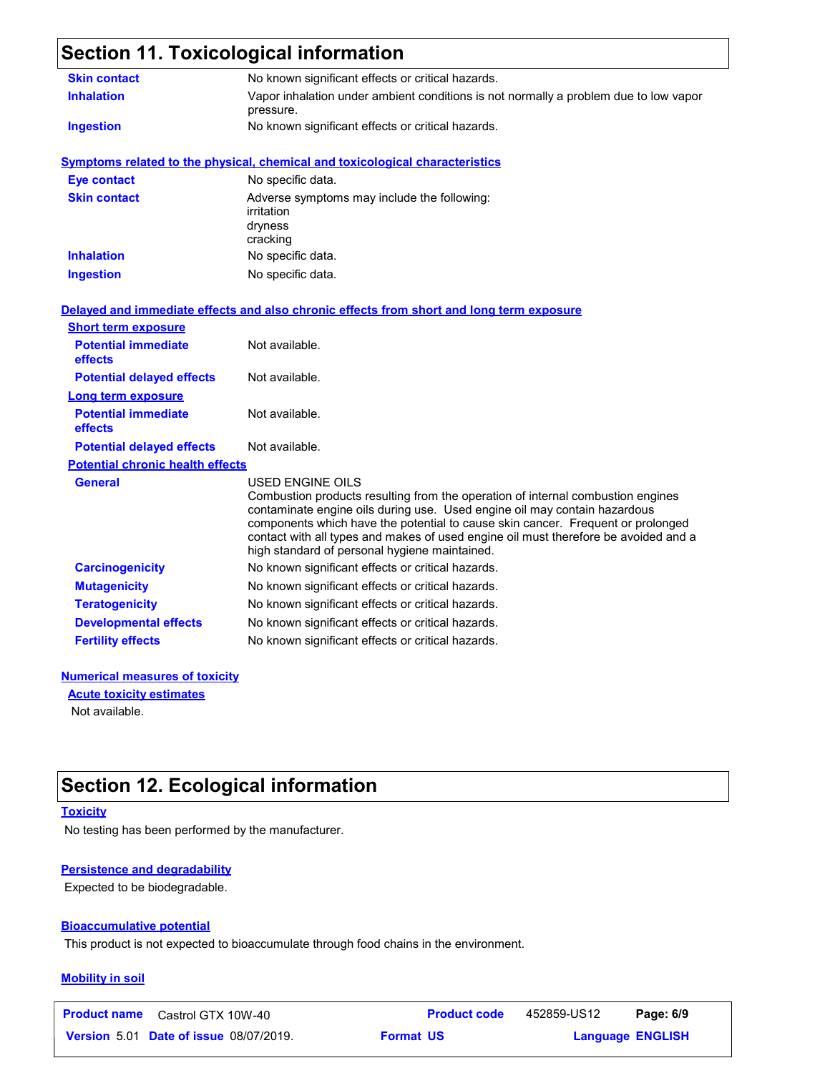# **Section 11. Toxicological information**

| <b>Skin contact</b>                     | No known significant effects or critical hazards.                                                                                                                                                                                                                                                                                                                                                                  |  |  |  |
|-----------------------------------------|--------------------------------------------------------------------------------------------------------------------------------------------------------------------------------------------------------------------------------------------------------------------------------------------------------------------------------------------------------------------------------------------------------------------|--|--|--|
| <b>Inhalation</b>                       | Vapor inhalation under ambient conditions is not normally a problem due to low vapor<br>pressure.                                                                                                                                                                                                                                                                                                                  |  |  |  |
| <b>Ingestion</b>                        | No known significant effects or critical hazards.                                                                                                                                                                                                                                                                                                                                                                  |  |  |  |
|                                         | <b>Symptoms related to the physical, chemical and toxicological characteristics</b>                                                                                                                                                                                                                                                                                                                                |  |  |  |
| <b>Eye contact</b>                      | No specific data.                                                                                                                                                                                                                                                                                                                                                                                                  |  |  |  |
| <b>Skin contact</b>                     | Adverse symptoms may include the following:<br>irritation<br>dryness<br>cracking                                                                                                                                                                                                                                                                                                                                   |  |  |  |
| <b>Inhalation</b>                       | No specific data.                                                                                                                                                                                                                                                                                                                                                                                                  |  |  |  |
| <b>Ingestion</b>                        | No specific data.                                                                                                                                                                                                                                                                                                                                                                                                  |  |  |  |
|                                         | Delayed and immediate effects and also chronic effects from short and long term exposure                                                                                                                                                                                                                                                                                                                           |  |  |  |
| <b>Short term exposure</b>              |                                                                                                                                                                                                                                                                                                                                                                                                                    |  |  |  |
| <b>Potential immediate</b><br>effects   | Not available.                                                                                                                                                                                                                                                                                                                                                                                                     |  |  |  |
| <b>Potential delayed effects</b>        | Not available.                                                                                                                                                                                                                                                                                                                                                                                                     |  |  |  |
| <b>Long term exposure</b>               |                                                                                                                                                                                                                                                                                                                                                                                                                    |  |  |  |
| <b>Potential immediate</b><br>effects   | Not available.                                                                                                                                                                                                                                                                                                                                                                                                     |  |  |  |
| <b>Potential delayed effects</b>        | Not available.                                                                                                                                                                                                                                                                                                                                                                                                     |  |  |  |
| <b>Potential chronic health effects</b> |                                                                                                                                                                                                                                                                                                                                                                                                                    |  |  |  |
| <b>General</b>                          | <b>USED ENGINE OILS</b><br>Combustion products resulting from the operation of internal combustion engines<br>contaminate engine oils during use. Used engine oil may contain hazardous<br>components which have the potential to cause skin cancer. Frequent or prolonged<br>contact with all types and makes of used engine oil must therefore be avoided and a<br>high standard of personal hygiene maintained. |  |  |  |
| <b>Carcinogenicity</b>                  | No known significant effects or critical hazards.                                                                                                                                                                                                                                                                                                                                                                  |  |  |  |
| <b>Mutagenicity</b>                     | No known significant effects or critical hazards.                                                                                                                                                                                                                                                                                                                                                                  |  |  |  |
| <b>Teratogenicity</b>                   | No known significant effects or critical hazards.                                                                                                                                                                                                                                                                                                                                                                  |  |  |  |
| <b>Developmental effects</b>            | No known significant effects or critical hazards.                                                                                                                                                                                                                                                                                                                                                                  |  |  |  |
| <b>Fertility effects</b>                | No known significant effects or critical hazards.                                                                                                                                                                                                                                                                                                                                                                  |  |  |  |
| Numawiaal maaaaruga of taylaltu         |                                                                                                                                                                                                                                                                                                                                                                                                                    |  |  |  |

#### **Numerical measures of toxicity**

**Acute toxicity estimates**

Not available.

# **Section 12. Ecological information**

**Toxicity**

No testing has been performed by the manufacturer.

#### **Persistence and degradability**

Expected to be biodegradable.

#### **Bioaccumulative potential**

This product is not expected to bioaccumulate through food chains in the environment.

#### **Mobility in soil**

| <b>Product name</b> Castrol GTX 10W-40        | <b>Product code</b> | 452859-US12 | Page: 6/9               |  |
|-----------------------------------------------|---------------------|-------------|-------------------------|--|
| <b>Version 5.01 Date of issue 08/07/2019.</b> | <b>Format US</b>    |             | <b>Language ENGLISH</b> |  |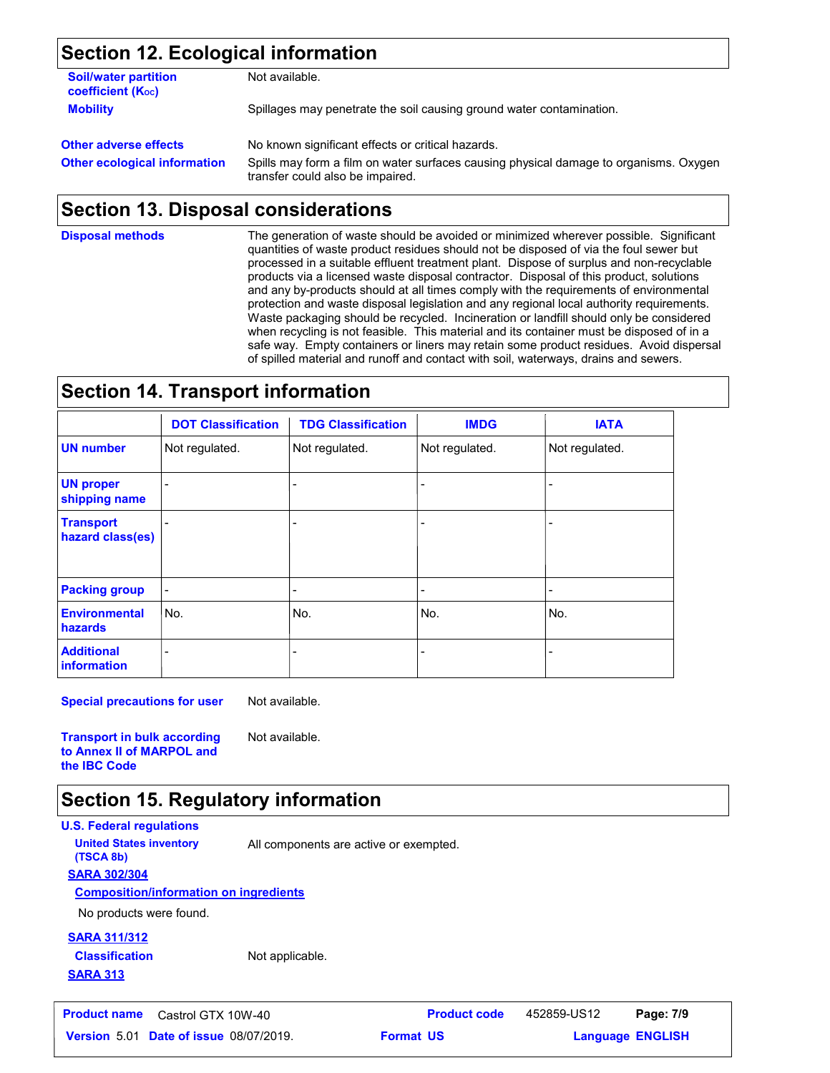## **Section 12. Ecological information**

| <b>Soil/water partition</b><br>coefficient (K <sub>oc</sub> ) | Not available.                                                                                                            |
|---------------------------------------------------------------|---------------------------------------------------------------------------------------------------------------------------|
| <b>Mobility</b>                                               | Spillages may penetrate the soil causing ground water contamination.                                                      |
| <b>Other adverse effects</b>                                  | No known significant effects or critical hazards.                                                                         |
| <b>Other ecological information</b>                           | Spills may form a film on water surfaces causing physical damage to organisms. Oxygen<br>transfer could also be impaired. |

# **Section 13. Disposal considerations**

**Disposal methods**

The generation of waste should be avoided or minimized wherever possible. Significant quantities of waste product residues should not be disposed of via the foul sewer but processed in a suitable effluent treatment plant. Dispose of surplus and non-recyclable products via a licensed waste disposal contractor. Disposal of this product, solutions and any by-products should at all times comply with the requirements of environmental protection and waste disposal legislation and any regional local authority requirements. Waste packaging should be recycled. Incineration or landfill should only be considered when recycling is not feasible. This material and its container must be disposed of in a safe way. Empty containers or liners may retain some product residues. Avoid dispersal of spilled material and runoff and contact with soil, waterways, drains and sewers.

### **Section 14. Transport information**

|                                        | <b>DOT Classification</b> | <b>TDG Classification</b> | <b>IMDG</b>              | <b>IATA</b>    |
|----------------------------------------|---------------------------|---------------------------|--------------------------|----------------|
| <b>UN number</b>                       | Not regulated.            | Not regulated.            | Not regulated.           | Not regulated. |
| <b>UN proper</b><br>shipping name      |                           |                           |                          |                |
| <b>Transport</b><br>hazard class(es)   |                           |                           | $\overline{\phantom{0}}$ |                |
| <b>Packing group</b>                   | $\overline{a}$            | -                         | $\overline{\phantom{0}}$ |                |
| <b>Environmental</b><br><b>hazards</b> | No.                       | lNo.                      | No.                      | No.            |
| <b>Additional</b><br>information       |                           |                           |                          |                |

**Special precautions for user** Not available.

**Transport in bulk according to Annex II of MARPOL and the IBC Code**

### **Section 15. Regulatory information**

**U.S. Federal regulations SARA 302/304 Composition/information on ingredients United States inventory** All components are active or exempted. **(TSCA 8b)**

Not available.

No products were found.

### **SARA 311/312 Classification**

Not applicable.

**SARA 313**

**Product name** Castrol GTX 10W-40 **Product code** 452859-US12 **Page: 7/9**

```
Date of issue 08/07/2019. Format US State of Language ENGLIS
                                                     Language ENGLISH
```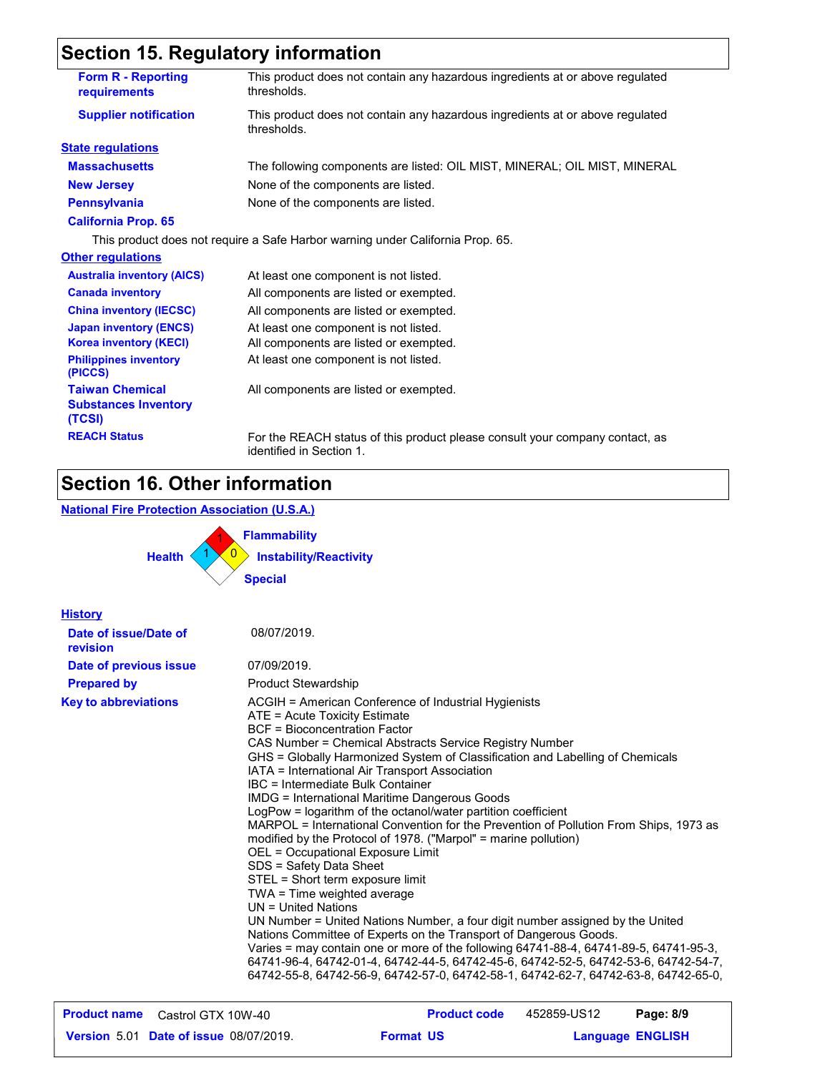# **Section 15. Regulatory information**

| <b>Form R - Reporting</b><br>requirements                       | This product does not contain any hazardous ingredients at or above regulated<br>thresholds.             |
|-----------------------------------------------------------------|----------------------------------------------------------------------------------------------------------|
| <b>Supplier notification</b>                                    | This product does not contain any hazardous ingredients at or above regulated<br>thresholds.             |
| <b>State regulations</b>                                        |                                                                                                          |
| <b>Massachusetts</b>                                            | The following components are listed: OIL MIST, MINERAL; OIL MIST, MINERAL                                |
| <b>New Jersey</b>                                               | None of the components are listed.                                                                       |
| <b>Pennsylvania</b>                                             | None of the components are listed.                                                                       |
| <b>California Prop. 65</b>                                      |                                                                                                          |
|                                                                 | This product does not require a Safe Harbor warning under California Prop. 65.                           |
| <b>Other regulations</b>                                        |                                                                                                          |
| <b>Australia inventory (AICS)</b>                               | At least one component is not listed.                                                                    |
| <b>Canada inventory</b>                                         | All components are listed or exempted.                                                                   |
| <b>China inventory (IECSC)</b>                                  | All components are listed or exempted.                                                                   |
| <b>Japan inventory (ENCS)</b>                                   | At least one component is not listed.                                                                    |
| <b>Korea inventory (KECI)</b>                                   | All components are listed or exempted.                                                                   |
| <b>Philippines inventory</b><br>(PICCS)                         | At least one component is not listed.                                                                    |
| <b>Taiwan Chemical</b><br><b>Substances Inventory</b><br>(TCSI) | All components are listed or exempted.                                                                   |
| <b>REACH Status</b>                                             | For the REACH status of this product please consult your company contact, as<br>identified in Section 1. |

### **Section 16. Other information**

### **National Fire Protection Association (U.S.A.)**



| <b>History</b>                    |                                                                                                                                                                                                                                                                                                                                                                                                                                                                                                                                                                                                                                                                                                                                                                                                                                                                                                                                                                                                                                                                                                                                                                                                                                       |
|-----------------------------------|---------------------------------------------------------------------------------------------------------------------------------------------------------------------------------------------------------------------------------------------------------------------------------------------------------------------------------------------------------------------------------------------------------------------------------------------------------------------------------------------------------------------------------------------------------------------------------------------------------------------------------------------------------------------------------------------------------------------------------------------------------------------------------------------------------------------------------------------------------------------------------------------------------------------------------------------------------------------------------------------------------------------------------------------------------------------------------------------------------------------------------------------------------------------------------------------------------------------------------------|
| Date of issue/Date of<br>revision | 08/07/2019.                                                                                                                                                                                                                                                                                                                                                                                                                                                                                                                                                                                                                                                                                                                                                                                                                                                                                                                                                                                                                                                                                                                                                                                                                           |
| Date of previous issue            | 07/09/2019.                                                                                                                                                                                                                                                                                                                                                                                                                                                                                                                                                                                                                                                                                                                                                                                                                                                                                                                                                                                                                                                                                                                                                                                                                           |
| <b>Prepared by</b>                | <b>Product Stewardship</b>                                                                                                                                                                                                                                                                                                                                                                                                                                                                                                                                                                                                                                                                                                                                                                                                                                                                                                                                                                                                                                                                                                                                                                                                            |
| <b>Key to abbreviations</b>       | ACGIH = American Conference of Industrial Hygienists<br>ATE = Acute Toxicity Estimate<br>BCF = Bioconcentration Factor<br>CAS Number = Chemical Abstracts Service Registry Number<br>GHS = Globally Harmonized System of Classification and Labelling of Chemicals<br>IATA = International Air Transport Association<br>IBC = Intermediate Bulk Container<br><b>IMDG = International Maritime Dangerous Goods</b><br>LogPow = logarithm of the octanol/water partition coefficient<br>MARPOL = International Convention for the Prevention of Pollution From Ships, 1973 as<br>modified by the Protocol of 1978. ("Marpol" = marine pollution)<br>OEL = Occupational Exposure Limit<br>SDS = Safety Data Sheet<br>STEL = Short term exposure limit<br>TWA = Time weighted average<br>UN = United Nations<br>UN Number = United Nations Number, a four digit number assigned by the United<br>Nations Committee of Experts on the Transport of Dangerous Goods.<br>Varies = may contain one or more of the following 64741-88-4, 64741-89-5, 64741-95-3,<br>64741-96-4, 64742-01-4, 64742-44-5, 64742-45-6, 64742-52-5, 64742-53-6, 64742-54-7,<br>64742-55-8, 64742-56-9, 64742-57-0, 64742-58-1, 64742-62-7, 64742-63-8, 64742-65-0, |

| <b>Product name</b> Castrol GTX 10W-40        | <b>Product code</b> | 452859-US12             | Page: 8/9 |
|-----------------------------------------------|---------------------|-------------------------|-----------|
| <b>Version 5.01 Date of issue 08/07/2019.</b> | <b>Format US</b>    | <b>Language ENGLISH</b> |           |